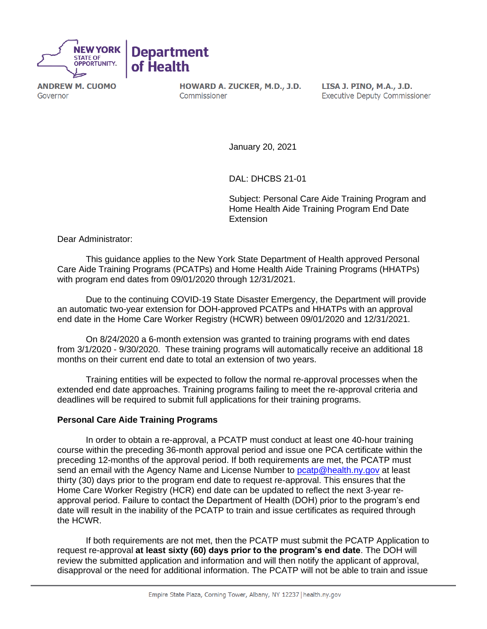

**ANDREW M. CUOMO** Governor

HOWARD A. ZUCKER, M.D., J.D. Commissioner

LISA J. PINO, M.A., J.D. **Executive Deputy Commissioner** 

January 20, 2021

DAL: DHCBS 21-01

Subject: Personal Care Aide Training Program and Home Health Aide Training Program End Date **Extension** 

Dear Administrator:

This guidance applies to the New York State Department of Health approved Personal Care Aide Training Programs (PCATPs) and Home Health Aide Training Programs (HHATPs) with program end dates from 09/01/2020 through 12/31/2021.

Due to the continuing COVID-19 State Disaster Emergency, the Department will provide an automatic two-year extension for DOH-approved PCATPs and HHATPs with an approval end date in the Home Care Worker Registry (HCWR) between 09/01/2020 and 12/31/2021.

On 8/24/2020 a 6-month extension was granted to training programs with end dates from 3/1/2020 - 9/30/2020. These training programs will automatically receive an additional 18 months on their current end date to total an extension of two years.

Training entities will be expected to follow the normal re-approval processes when the extended end date approaches. Training programs failing to meet the re-approval criteria and deadlines will be required to submit full applications for their training programs.

## **Personal Care Aide Training Programs**

In order to obtain a re-approval, a PCATP must conduct at least one 40-hour training course within the preceding 36-month approval period and issue one PCA certificate within the preceding 12-months of the approval period. If both requirements are met, the PCATP must send an email with the Agency Name and License Number to peatp@health.ny.gov at least thirty (30) days prior to the program end date to request re-approval. This ensures that the Home Care Worker Registry (HCR) end date can be updated to reflect the next 3-year reapproval period. Failure to contact the Department of Health (DOH) prior to the program's end date will result in the inability of the PCATP to train and issue certificates as required through the HCWR.

If both requirements are not met, then the PCATP must submit the PCATP Application to request re-approval **at least sixty (60) days prior to the program's end date**. The DOH will review the submitted application and information and will then notify the applicant of approval, disapproval or the need for additional information. The PCATP will not be able to train and issue